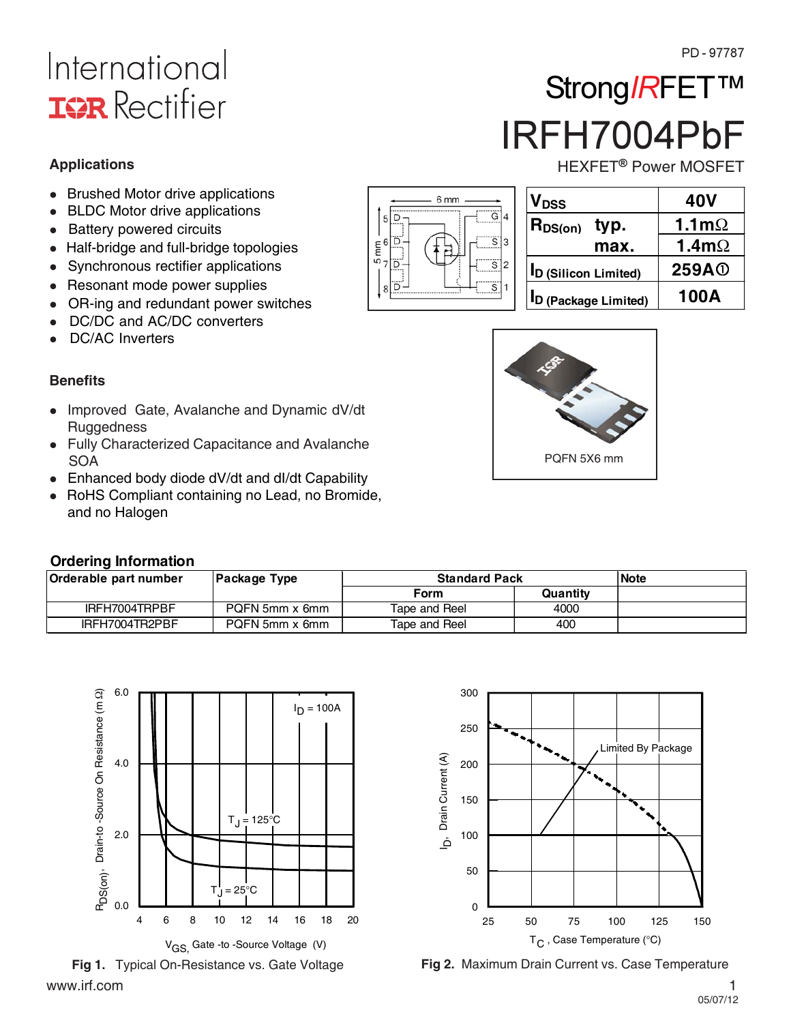# International **ISR** Rectifier

**Applications**

- $\bullet$ Brushed Motor drive applications
- -BLDC Motor drive applications
- Battery powered circuits
- $\bullet$ Half-bridge and full-bridge topologies
- Synchronous rectifier applications
- Resonant mode power supplies
- $\bullet$ OR-ing and redundant power switches
- $\bullet$ DC/DC and AC/DC converters
- $\bullet$ DC/AC Inverters

### **Benefits**

- Improved Gate, Avalanche and Dynamic dV/dt **Ruggedness**
- Fully Characterized Capacitance and Avalanche **SOA**
- Enhanced body diode dV/dt and dl/dt Capability
- -RoHS Compliant containing no Lead, no Bromide, and no Halogen



| Orderable part number | Package Type   | <b>Standard Pack</b> | <b>Note</b> |  |
|-----------------------|----------------|----------------------|-------------|--|
|                       |                | Form                 | Quantity    |  |
| IRFH7004TRPBF         | PQFN 5mm x 6mm | Tape and Reel        | 4000        |  |
| IRFH7004TR2PBF        | PQFN 5mm x 6mm | Tape and Reel        | 400         |  |

6 mm

 $5\overline{D}$ 

ΪÖ

ö

 $\mathbf{8}$ 

 $\frac{1}{2}$   $\frac{1}{2}$ ΪÖ Ĝ

S

3

っ



www.irf.com 1



**ID (Silicon Limited) 259A**

**VDSS 40V**  $R_{DS(on)}$  typ.  $1.1m\Omega$ 

IRFH7004PbF

HEXFET<sup>®</sup> Power MOSFET

Strong/RFET<sup>TM</sup>

**max.** | 1.4m $\Omega$ 





**Fig 1.** Typical On-Resistance vs. Gate Voltage **Fig 2.** Maximum Drain Current vs. Case Temperature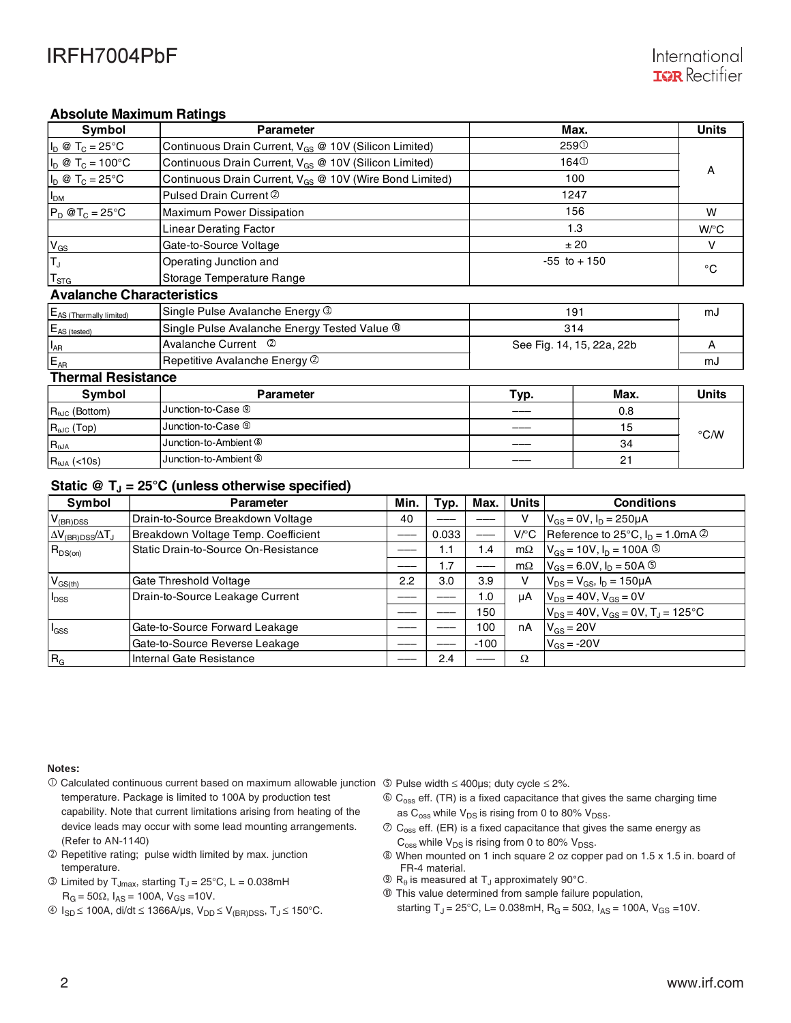### **Absolute Maximum Ratings**

| Symbol                                           | <b>Parameter</b>                                                    | Max.             | <b>Units</b>              |                    |  |  |  |
|--------------------------------------------------|---------------------------------------------------------------------|------------------|---------------------------|--------------------|--|--|--|
| $I_D \otimes T_C = 25^{\circ}C$                  | Continuous Drain Current, V <sub>GS</sub> @ 10V (Silicon Limited)   | 259 <sup>O</sup> |                           |                    |  |  |  |
| $I_D @ T_C = 100°C$                              | Continuous Drain Current, V <sub>GS</sub> @ 10V (Silicon Limited)   |                  | 164 <sup>①</sup>          |                    |  |  |  |
| $I_D \otimes T_C = 25^{\circ}C$                  | Continuous Drain Current, V <sub>GS</sub> @ 10V (Wire Bond Limited) |                  | 100                       | A                  |  |  |  |
| I <sub>DM</sub>                                  | Pulsed Drain Current 2                                              |                  | 1247                      |                    |  |  |  |
| $P_D @T_C = 25°C$                                | Maximum Power Dissipation                                           | 156              | W                         |                    |  |  |  |
|                                                  | <b>Linear Derating Factor</b>                                       |                  | 1.3                       | $W$ <sup>o</sup> C |  |  |  |
| $V_{GS}$                                         | Gate-to-Source Voltage                                              |                  | ±20                       |                    |  |  |  |
| T <sub>J</sub><br>Operating Junction and         |                                                                     | $-55$ to $+150$  |                           | $^{\circ}$ C       |  |  |  |
| $T_{\rm STG}$<br>Storage Temperature Range       |                                                                     |                  |                           |                    |  |  |  |
| <b>Avalanche Characteristics</b>                 |                                                                     |                  |                           |                    |  |  |  |
| E <sub>AS</sub> (Thermally limited)              | Single Pulse Avalanche Energy 3                                     |                  | 191                       | mJ                 |  |  |  |
| $E_{AS (tested)}$                                | Single Pulse Avalanche Energy Tested Value ®                        | 314              |                           |                    |  |  |  |
| L <sub>AR</sub>                                  | Avalanche Current 2                                                 |                  | See Fig. 14, 15, 22a, 22b |                    |  |  |  |
| E <sub>AR</sub><br>Repetitive Avalanche Energy 2 |                                                                     |                  | mJ                        |                    |  |  |  |
| <b>Thermal Resistance</b>                        |                                                                     |                  |                           |                    |  |  |  |
| Symbol                                           | <b>Parameter</b>                                                    | Typ.             | Max.                      | <b>Units</b>       |  |  |  |
| $R_{\theta\text{JC}}$ (Bottom)                   | Junction-to-Case <sup>⑨</sup>                                       |                  | 0.8                       |                    |  |  |  |
| $R_{\theta$ Jc (Top)                             | Junction-to-Case <sup>®</sup>                                       |                  | 15                        |                    |  |  |  |
|                                                  |                                                                     |                  |                           | $\degree$ C/W      |  |  |  |

### Static  $\circledR$  T<sub>J</sub> = 25°C (unless otherwise specified)

R<sub>aja</sub> **Communist Communist Communist Communist Communist Communist Communist Communist Communist Communist Communist Communist Communist Communist Communist Communist Communist Communist Communist Communist Communist Comm** 

 $R_{\theta$ JA (<10s) Junction-to-Ambient  $\overline{\textcircled{\ }}$ 

| Symbol                                    | <b>Parameter</b>                     | Min. | Typ.  | Max.   | <b>Units</b> | <b>Conditions</b>                               |
|-------------------------------------------|--------------------------------------|------|-------|--------|--------------|-------------------------------------------------|
| V <sub>(BR)DSS</sub>                      | Drain-to-Source Breakdown Voltage    | 40   |       |        |              | $V_{GS} = 0V$ , $I_D = 250 \mu A$               |
| $\Delta V_{\rm (BR)DSS}/\Delta T_{\rm J}$ | Breakdown Voltage Temp. Coefficient  |      | 0.033 |        |              | V/°C Reference to 25°C, $I_D = 1.0 \text{mA}$ 2 |
| $R_{DS(on)}$                              | Static Drain-to-Source On-Resistance |      | 1.1   | 1.4    | $m\Omega$    | $V_{GS}$ = 10V, $I_D$ = 100A $\circledcirc$     |
|                                           |                                      |      | 1.7   |        | $m\Omega$    | $V_{GS} = 6.0 V, I_D = 50 A$ ©                  |
| $V_{GS(th)}$                              | Gate Threshold Voltage               | 2.2  | 3.0   | 3.9    |              | $V_{DS} = V_{GS}$ , $I_D = 150 \mu A$           |
| <b>I</b> <sub>DSS</sub>                   | Drain-to-Source Leakage Current      |      |       | 1.0    | uA           | $V_{DS}$ = 40V, $V_{GS}$ = 0V                   |
|                                           |                                      |      |       | 150    |              | $V_{DS}$ = 40V, $V_{GS}$ = 0V, $T_J$ = 125°C    |
| <b>I</b> GSS                              | Gate-to-Source Forward Leakage       |      |       | 100    | nA           | $V_{GS}$ = 20V                                  |
|                                           | Gate-to-Source Reverse Leakage       |      |       | $-100$ |              | $V_{GS}$ = -20V                                 |
| R <sub>G</sub>                            | Internal Gate Resistance             |      | 2.4   |        | Ω            |                                                 |

 $\circ$  34

 $\circ$  21

#### Notes:

- Calculated continuous current based on maximum allowable junction Pulse width 400μs; duty cycle 2%. temperature. Package is limited to 100A by production test capability. Note that current limitations arising from heating of the device leads may occur with some lead mounting arrangements. (Refer to AN-1140)
- Repetitive rating; pulse width limited by max. junction temperature.
- $\circled{1}$  Limited by T<sub>Jmax</sub>, starting T<sub>J</sub> = 25 $\circ$ C, L = 0.038mH  $R_G = 50\Omega$ ,  $I_{AS} = 100A$ ,  $V_{GS} = 10V$ .
- $\circledast$  I<sub>SD</sub>  $\leq$  100A, di/dt  $\leq$  1366A/µs, V<sub>DD</sub>  $\leq$  V<sub>(BR)DSS</sub>, T<sub>J</sub> $\leq$  150°C.

- $\circled{c}_{\text{oss}}$  eff. (TR) is a fixed capacitance that gives the same charging time as  $C_{\rm oss}$  while  $V_{DS}$  is rising from 0 to 80%  $V_{DSS}$ .
- $\circled{C}_{\text{oss}}$  eff. (ER) is a fixed capacitance that gives the same energy as  $C_{\text{oss}}$  while  $V_{DS}$  is rising from 0 to 80%  $V_{DSS}$ .
- When mounted on 1 inch square 2 oz copper pad on 1.5 x 1.5 in. board of FR-4 material.
- $\textcircled{R}_{\theta}$  is measured at T<sub>J</sub> approximately 90°C.
- This value determined from sample failure population,
	- starting T<sub>J</sub> = 25°C, L= 0.038mH, R<sub>G</sub> = 50 $\Omega$ , I<sub>AS</sub> = 100A, V<sub>GS</sub> = 10V.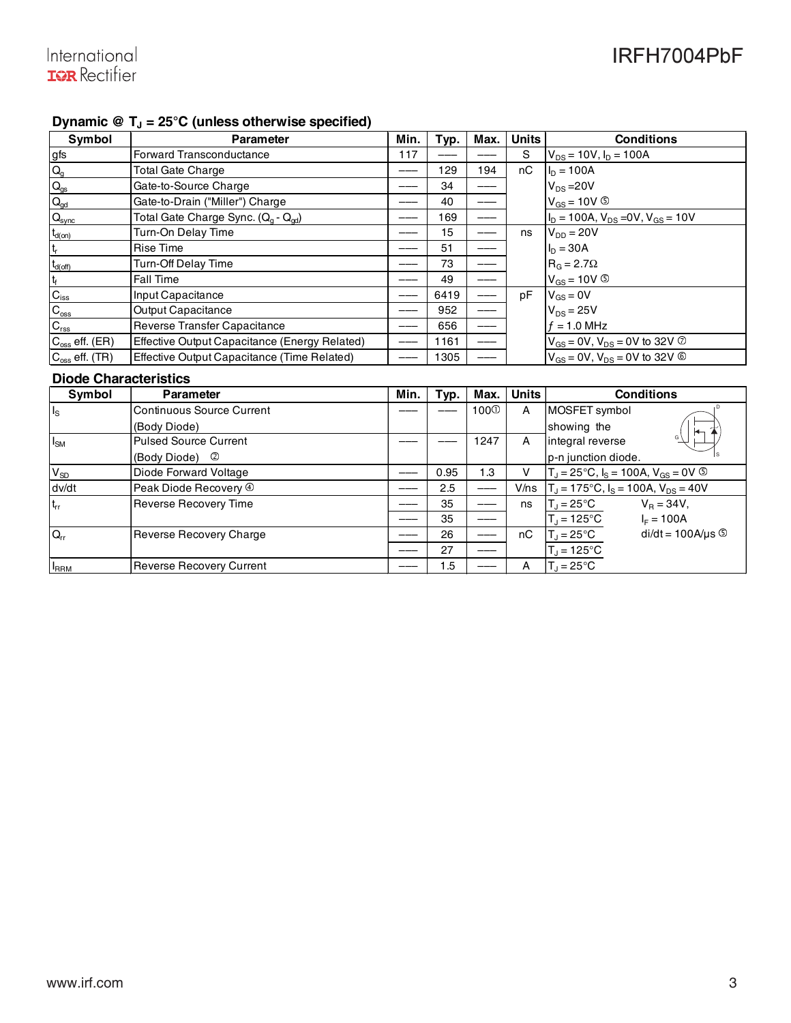### Dynamic  $\circledR$  T<sub>J</sub> = 25<sup>°</sup>C (unless otherwise specified)

| Symbol                    | <b>Parameter</b>                                            | Min. | Typ. | Max. | <b>Units</b> | <b>Conditions</b>                                  |
|---------------------------|-------------------------------------------------------------|------|------|------|--------------|----------------------------------------------------|
| gfs                       | Forward Transconductance                                    | 117  |      |      | S            | $V_{DS}$ = 10V, $I_D$ = 100A                       |
| $Q_{q}$                   | <b>Total Gate Charge</b>                                    |      | 129  | 194  | nC           | $I_D = 100A$                                       |
| $\mathbf{Q}_\mathrm{gs}$  | Gate-to-Source Charge                                       |      | 34   |      |              | $V_{DS} = 20V$                                     |
| $Q_{gd}$                  | Gate-to-Drain ("Miller") Charge                             |      | 40   |      |              | $V_{GS}$ = 10V $\circledcirc$                      |
| $Q_{sync}$                | Total Gate Charge Sync. (Q <sub>q</sub> - Q <sub>qd</sub> ) |      | 169  |      |              | $ID$ = 100A, $VDS$ = 0V, $VGS$ = 10V               |
| $t_{d(on)}$               | Turn-On Delay Time                                          |      | 15   |      | ns           | $V_{DD} = 20V$                                     |
| $\mathsf{t}_{\mathsf{r}}$ | <b>Rise Time</b>                                            |      | 51   |      |              | $I_{D} = 30A$                                      |
| $t_{d(\text{off})}$       | Turn-Off Delay Time                                         |      | 73   |      |              | $R_G = 2.7\Omega$                                  |
| $t_f$                     | Fall Time                                                   |      | 49   |      |              | $V_{GS}$ = 10V $\circledcirc$                      |
| $\mathbf{C}_{\text{iss}}$ | Input Capacitance                                           |      | 6419 |      | рF           | $V_{GS} = 0V$                                      |
| $\mathbf{C}_{\text{oss}}$ | <b>Output Capacitance</b>                                   |      | 952  |      |              | $V_{DS}$ = 25V                                     |
| $C_{\text{rss}}$          | Reverse Transfer Capacitance                                |      | 656  |      |              | $f = 1.0$ MHz                                      |
| $C_{\rm os}$ eff. (ER)    | Effective Output Capacitance (Energy Related)               |      | 1161 |      |              | $V_{GS}$ = 0V, $V_{DS}$ = 0V to 32V $\circledcirc$ |
| $C_{\rm oss}$ eff. (TR)   | Effective Output Capacitance (Time Related)                 |      | 1305 |      |              | $V_{GS}$ = 0V, $V_{DS}$ = 0V to 32V $\circledcirc$ |
|                           |                                                             |      |      |      |              |                                                    |

### **Diode Characteristics**

| Symbol       | <b>Parameter</b>                  | Min. | Typ. | Max.             | <b>Units</b> | <b>Conditions</b>                                    |
|--------------|-----------------------------------|------|------|------------------|--------------|------------------------------------------------------|
| $I_{\rm S}$  | <b>Continuous Source Current</b>  |      |      | 100 <sup>0</sup> | A            | MOSFET symbol                                        |
|              | (Body Diode)                      |      |      |                  |              | showing the<br>┡                                     |
| $I_{SM}$     | <b>Pulsed Source Current</b>      |      |      | 1247             | A            | G<br>integral reverse                                |
|              | (Body Diode) 2                    |      |      |                  |              | p-n junction diode.                                  |
| $V_{SD}$     | Diode Forward Voltage             |      | 0.95 | 1.3              | v            | $T_J = 25^{\circ}C$ , $I_S = 100A$ , $V_{GS} = 0V$ © |
| dv/dt        | Peak Diode Recovery $\circledast$ |      | 2.5  |                  | V/ns         | $T_J$ = 175°C, $I_S$ = 100A, $V_{DS}$ = 40V          |
| $t_{rr}$     | <b>Reverse Recovery Time</b>      |      | 35   |                  | ns           | $V_{\rm B} = 34V$ ,<br>$T_d = 25^{\circ}C$           |
|              |                                   |      | 35   |                  |              | $T_{\rm J}$ = 125°C<br>$I_F = 100A$                  |
| $Q_{rr}$     | Reverse Recovery Charge           |      | 26   |                  | nC           | $di/dt = 100A/\mu s$<br>$T_J = 25^{\circ}C$          |
|              |                                   |      | 27   |                  |              | $T_J = 125$ °C                                       |
| <b>I</b> RRM | <b>Reverse Recovery Current</b>   |      | 1.5  |                  | A            | $T_1 = 25^{\circ}C$                                  |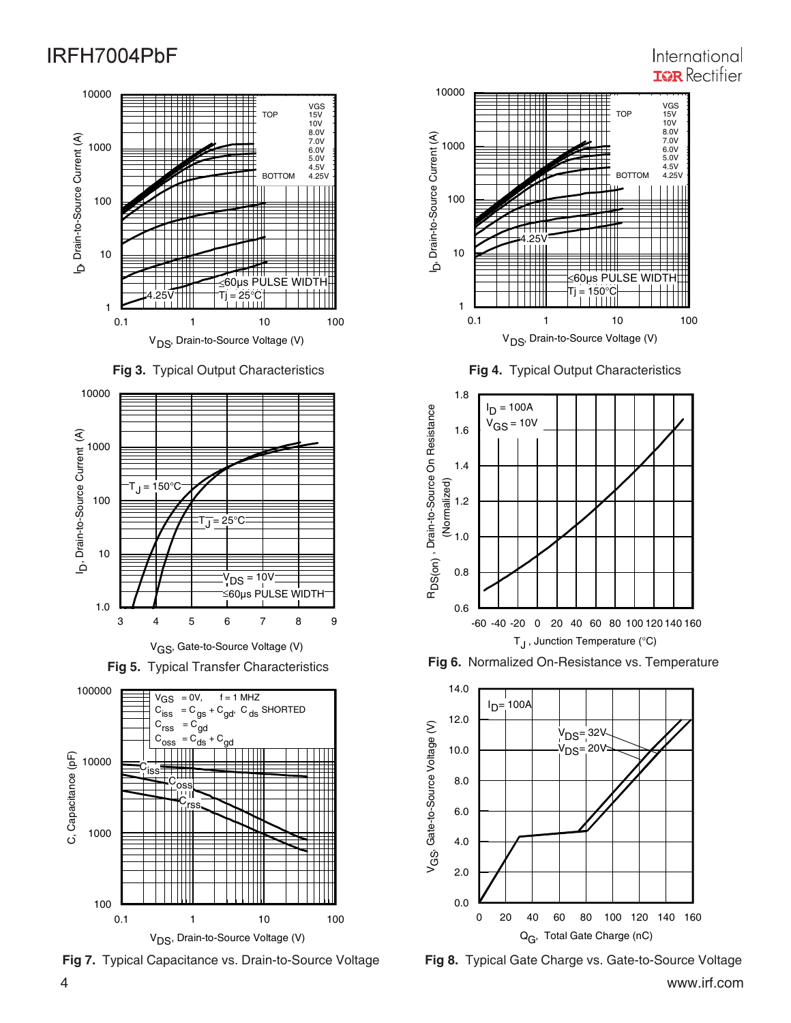#### 0.1 1 10 100 V<sub>DS</sub>, Drain-to-Source Voltage (V) 1 10 100 1000 10000 b, Drain-to-Source Current (A) D, Drain-to-Source Current (A) VGS TOP 15V 10V 8.0V 7.0V 6.0V 5.0V 4.5V **BOTTOM** 60μs PULSE WIDTH  $\frac{25}{1111}$





V<sub>GS</sub>, Gate-to-Source Voltage (V)





**Fig 7.** Typical Capacitance vs. Drain-to-Source Voltage **Fig 8.** Typical Gate Charge vs. Gate-to-Source Voltage



**Fig 4.** Typical Output Characteristics







## International **IGR** Rectifier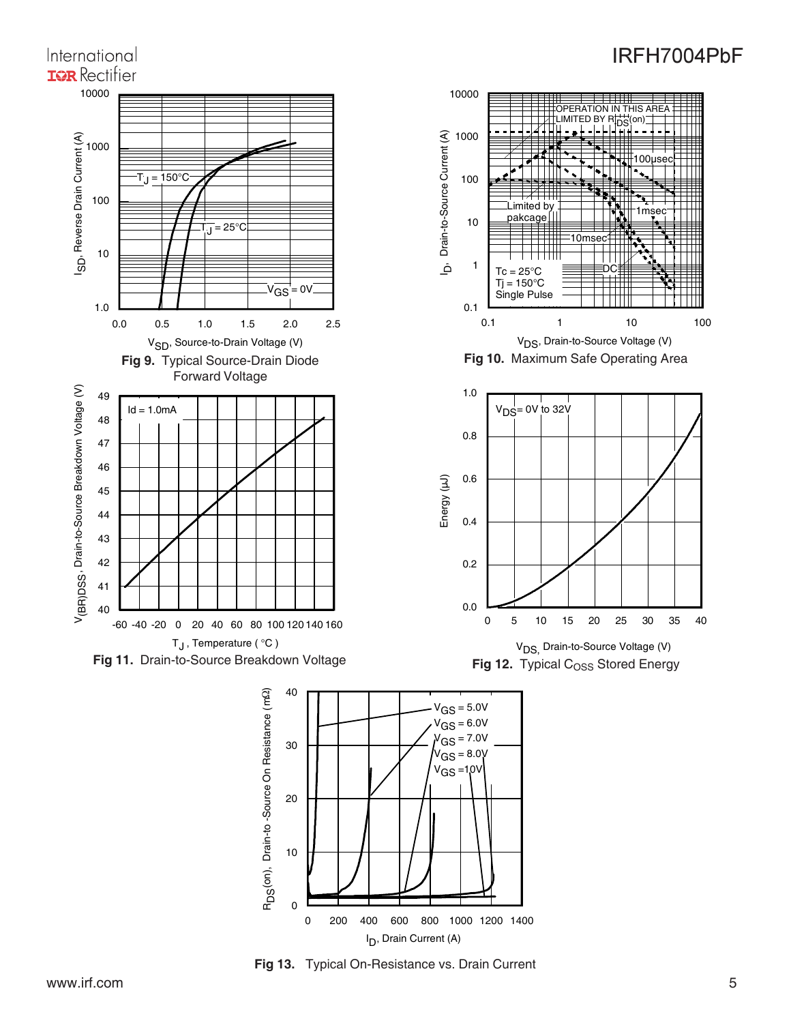

**Fig 13.** Typical On-Resistance vs. Drain Current

0

RD

10

0 200 400 600 800 1000 1200 1400 I D, Drain Current (A)

International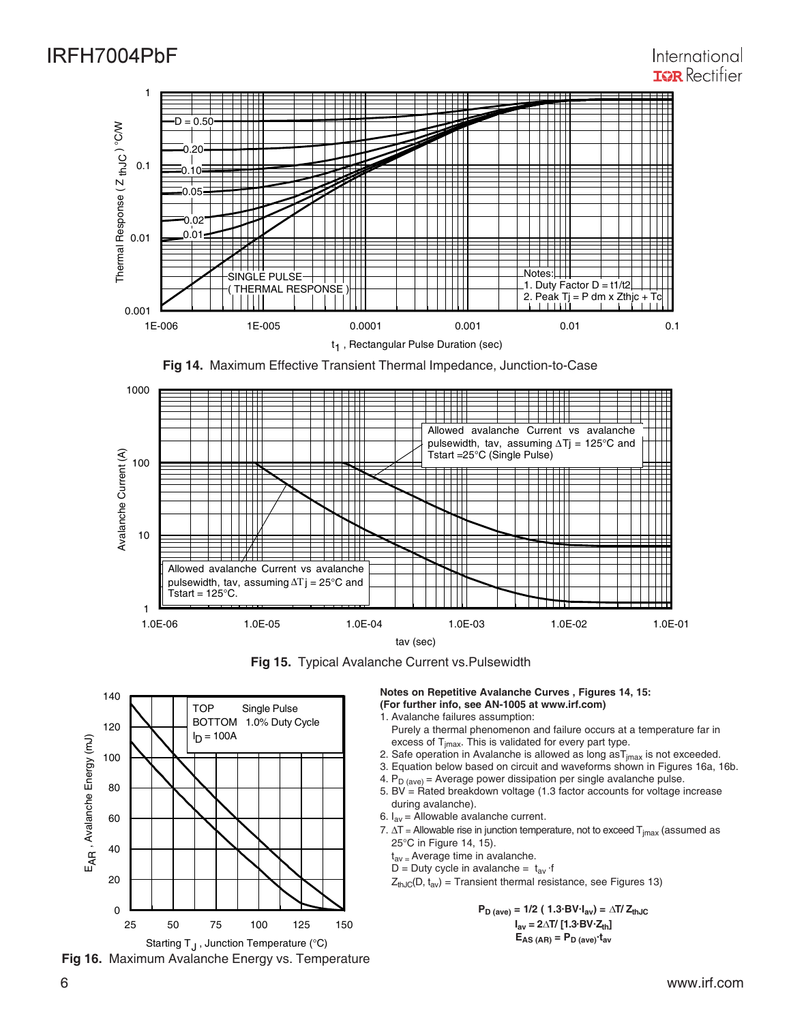

**Fig 14.** Maximum Effective Transient Thermal Impedance, Junction-to-Case



**Fig 15.** Typical Avalanche Current vs.Pulsewidth





**Notes on Repetitive Avalanche Curves , Figures 14, 15: (For further info, see AN-1005 at www.irf.com)**

- 1. Avalanche failures assumption: Purely a thermal phenomenon and failure occurs at a temperature far in
- excess of  $T_{\text{imax}}$ . This is validated for every part type.
- 2. Safe operation in Avalanche is allowed as long  $a_{\text{max}}$  is not exceeded.
- 3. Equation below based on circuit and waveforms shown in Figures 16a, 16b.
- 4.  $P_D$  (ave) = Average power dissipation per single avalanche pulse.
- 5. BV =  $Rate$ d breakdown voltage (1.3 factor accounts for voltage increase during avalanche).
- 6.  $I_{av}$  = Allowable avalanche current.
- 7.  $\Delta T$  = Allowable rise in junction temperature, not to exceed  $T_{jmax}$  (assumed as 25°C in Figure 14, 15).
	- $t_{av}$  = Average time in avalanche.
	- D = Duty cycle in avalanche =  $t_{av}$  ·f
	- $Z_{th,IC}(D, t_{av})$  = Transient thermal resistance, see Figures 13)

 $P_{D \text{ (ave)}} = 1/2 (1.3 \text{ BV} \cdot I_{av}) = \Delta T / Z_{thJC}$  $I_{av} = 2\Delta T / [1.3 \text{ BV} \cdot Z_{th}]$  $E_{AS (AR)} = P_{D (ave)} \cdot t_{av}$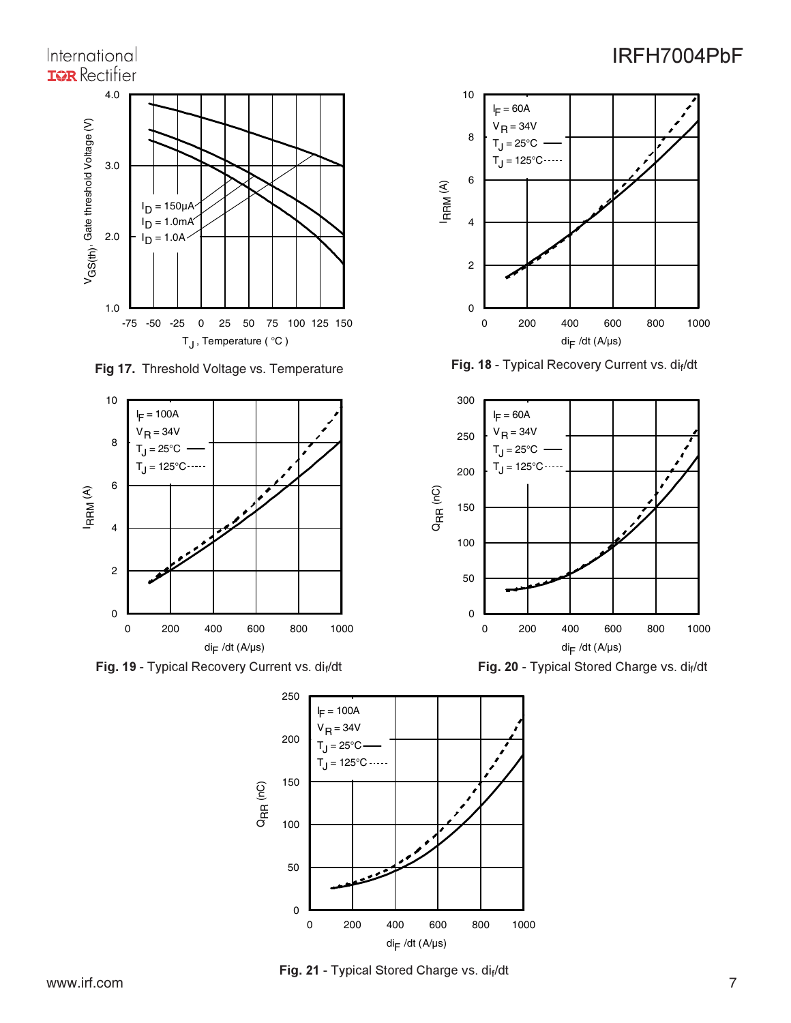### International **ISR** Rectifier 4.0 S(th), Gate threshold Voltage (V) 3.0 l<sub>D</sub> = 150μA  $= 1.0$ m $A<sup>2</sup>$ ים<sup>ן</sup> 2.0  $= 1.0A$ ln. V G 1.0 -75 -50 -25 0 25 50 75 100 125 150 T<sub>J</sub>, Temperature (°C)

**Fig 17.** Threshold Voltage vs. Temperature



**Fig. 19 - Typical Recovery Current vs. di<sub>f</sub>/dt <b>Carry Communist Communist Prig. 20 - Typical Stored Charge vs. di** 



Fig. 18 - Typical Recovery Current vs. di<sub>f</sub>



Current vs. di<sub>f</sub>/dt **Fig. 20 - Typical Stored Charge vs. dif/dt** 



Fig. 21 - Typical Stored Charge vs. dif/dt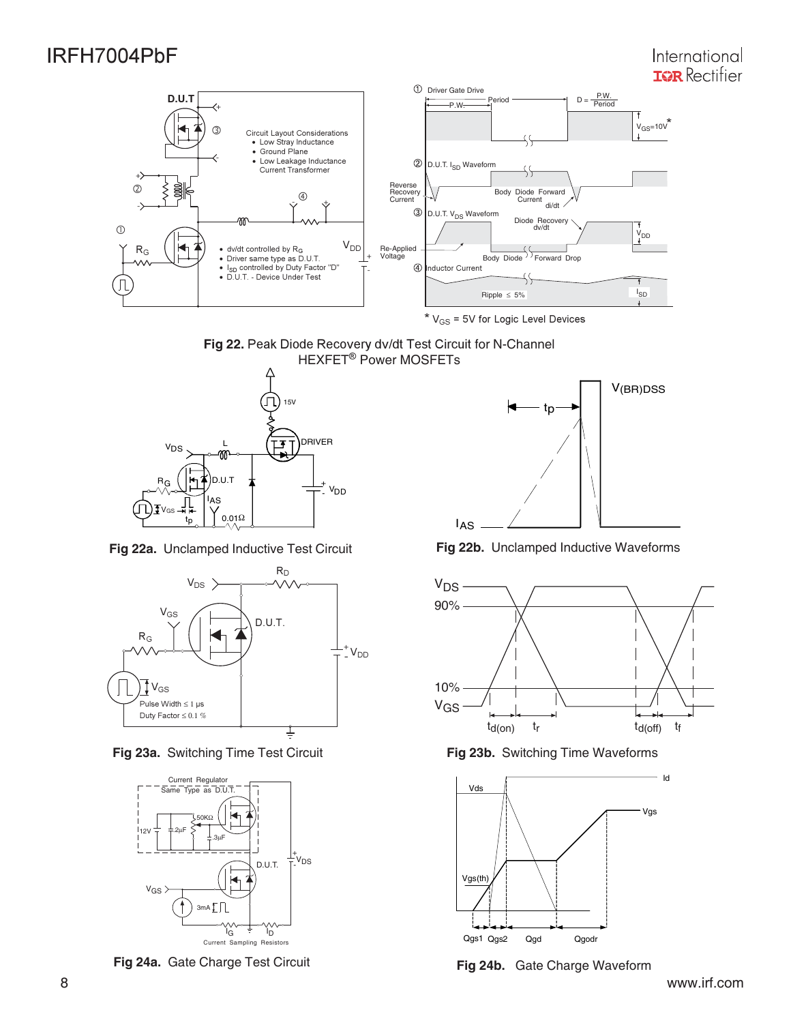

 $*$  V<sub>GS</sub> = 5V for Logic Level Devices





![](_page_7_Figure_7.jpeg)

**Fig 23a.** Switching Time Test Circuit **Fig 23b.** Switching Time Waveforms

![](_page_7_Figure_9.jpeg)

**Fig 24a.** Gate Charge Test Circuit **Fig 24b.** Gate Charge Waveform

![](_page_7_Figure_11.jpeg)

**Fig 22a.** Unclamped Inductive Test Circuit **Fig 22b.** Unclamped Inductive Waveforms

![](_page_7_Figure_13.jpeg)

![](_page_7_Figure_15.jpeg)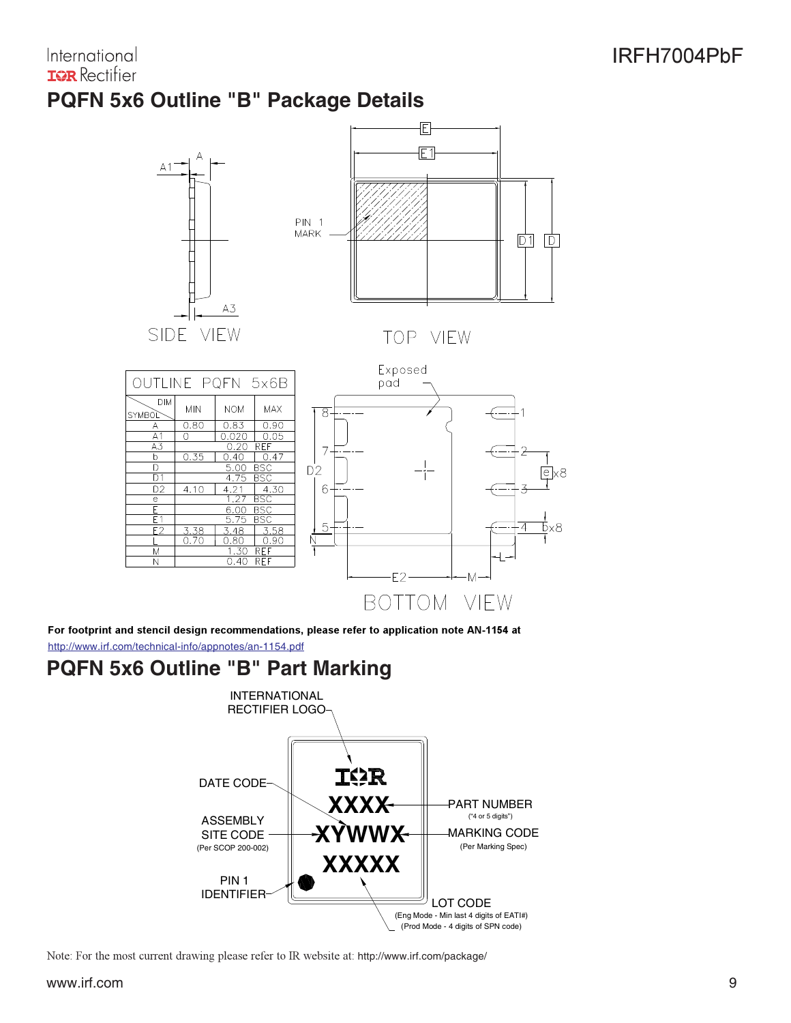### International **IGR** Rectifier

# **PQFN 5x6 Outline "B" Package Details**

![](_page_8_Figure_3.jpeg)

For footprint and stencil design recommendations, please refer to application note AN-1154 at

http://www.irf.com/technical-info/appnotes/an-1154.pdf

# **PQFN 5x6 Outline "B" Part Marking**

![](_page_8_Figure_7.jpeg)

Note: For the most current drawing please refer to IR website at: http://www.irf.com/package/